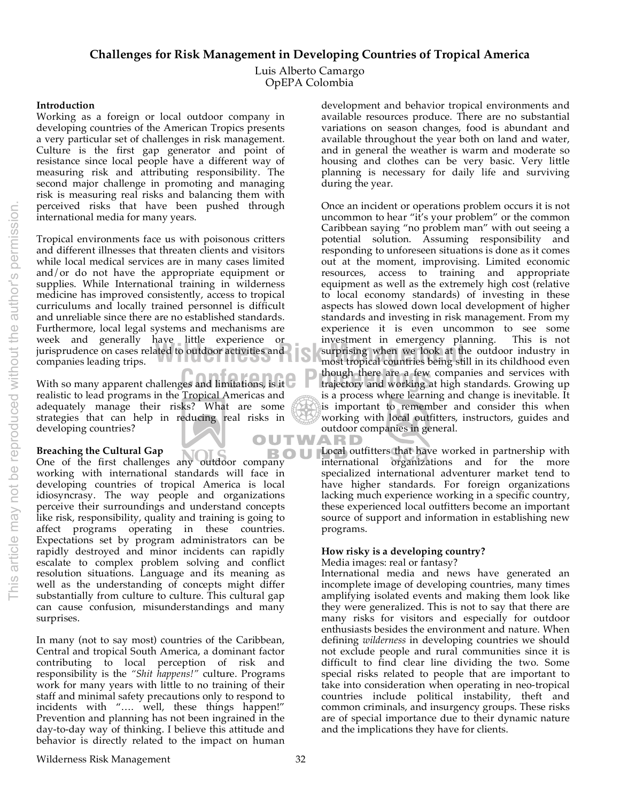Luis Alberto Camargo OpEPA Colombia

### **Introduction**

Working as a foreign or local outdoor company in developing countries of the American Tropics presents a very particular set of challenges in risk management. Culture is the first gap generator and point of resistance since local people have a different way of measuring risk and attributing responsibility. The second major challenge in promoting and managing risk is measuring real risks and balancing them with perceived risks that have been pushed through international media for many years.

Figures and Schemar Price of the experience of the integration in emergency productions in the experience on cases related to outdoor activities and surprising when we look at the companies leading trips. Tropical environments face us with poisonous critters and different illnesses that threaten clients and visitors while local medical services are in many cases limited and/or do not have the appropriate equipment or supplies. While International training in wilderness medicine has improved consistently, access to tropical curriculums and locally trained personnel is difficult and unreliable since there are no established standards. Furthermore, local legal systems and mechanisms are week and generally have little experience or companies leading trips.

With so many apparent challenges and limitations, is it  $\mathbb C$  **P** though there are a few realistic to lead programs in the Tropical Americas and adequately manage their risks? What are some strategies that can help in reducing real risks in developing countries? OUTW

# **Breaching the Cultural Gap**

**DE ONE ORE CONTROLLED STATE CONTROLLED STATE CONTROLLED STATE CONTROLLED STATE CONTROLLED STATE CONTROLLED STATE CONTROLLED STATE CONTROLLED STATE CONTROLLED STATES.** working with international standards will face in developing countries of tropical America is local idiosyncrasy. The way people and organizations perceive their surroundings and understand concepts like risk, responsibility, quality and training is going to affect programs operating in these countries. Expectations set by program administrators can be rapidly destroyed and minor incidents can rapidly escalate to complex problem solving and conflict resolution situations. Language and its meaning as well as the understanding of concepts might differ substantially from culture to culture. This cultural gap can cause confusion, misunderstandings and many surprises.

In many (not to say most) countries of the Caribbean, Central and tropical South America, a dominant factor contributing to local perception of risk and responsibility is the *"Shit happens!"* culture. Programs work for many years with little to no training of their staff and minimal safety precautions only to respond to incidents with ".... well, these things happen!" Prevention and planning has not been ingrained in the day-to-day way of thinking. I believe this attitude and behavior is directly related to the impact on human

development and behavior tropical environments and available resources produce. There are no substantial variations on season changes, food is abundant and available throughout the year both on land and water, and in general the weather is warm and moderate so housing and clothes can be very basic. Very little planning is necessary for daily life and surviving during the year.

Once an incident or operations problem occurs it is not uncommon to hear "it's your problem" or the common Caribbean saying "no problem man" with out seeing a potential solution. Assuming responsibility and responding to unforeseen situations is done as it comes out at the moment, improvising. Limited economic resources, access to training and appropriate equipment as well as the extremely high cost (relative to local economy standards) of investing in these aspects has slowed down local development of higher standards and investing in risk management. From my experience it is even uncommon to see some investment in emergency planning. This is not investment in emergency planning. surprising when we look at the outdoor industry in most tropical countries being still in its childhood even though there are a few companies and services with trajectory and working at high standards. Growing up is a process where learning and change is inevitable. It is important to remember and consider this when working with local outfitters, instructors, guides and outdoor companies in general.

ARD Local outfitters that have worked in partnership with international organizations and for the more specialized international adventurer market tend to have higher standards. For foreign organizations lacking much experience working in a specific country, these experienced local outfitters become an important source of support and information in establishing new programs.

## **How risky is a developing country?**

### Media images: real or fantasy?

International media and news have generated an incomplete image of developing countries, many times amplifying isolated events and making them look like they were generalized. This is not to say that there are many risks for visitors and especially for outdoor enthusiasts besides the environment and nature. When defining *wilderness* in developing countries we should not exclude people and rural communities since it is difficult to find clear line dividing the two. Some special risks related to people that are important to take into consideration when operating in neo-tropical countries include political instability, theft and common criminals, and insurgency groups. These risks are of special importance due to their dynamic nature and the implications they have for clients.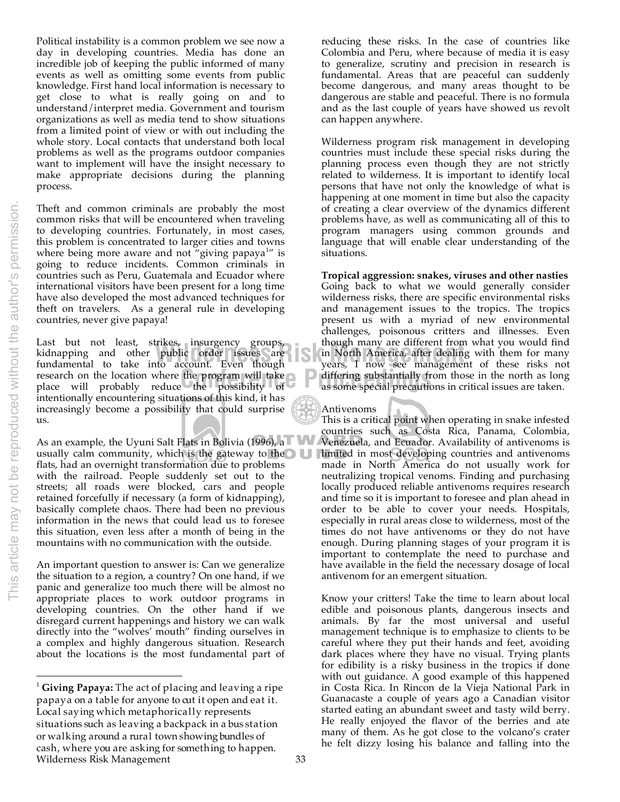$\overline{a}$ 

Political instability is a common problem we see now a day in developing countries. Media has done an incredible job of keeping the public informed of many events as well as omitting some events from public knowledge. First hand local information is necessary to get close to what is really going on and to understand/interpret media. Government and tourism organizations as well as media tend to show situations from a limited point of view or with out including the whole story. Local contacts that understand both local problems as well as the programs outdoor companies want to implement will have the insight necessary to make appropriate decisions during the planning process.

Theft and common criminals are probably the most common risks that will be encountered when traveling to developing countries. Fortunately, in most cases, this problem is concentrated to larger cities and towns where being more aware and not "giving papaya<sup>1</sup>" is going to reduce incidents. Common criminals in countries such as Peru, Guatemala and Ecuador where international visitors have been present for a long time have also developed the most advanced techniques for theft on travelers. As a general rule in developing countries, never give papaya!

research on the location where the program will take **Proference** differing substantially frequence will probably reduce the possibility of as some special precaution Last but not least, strikes, insurgency groups, though-many-are-different-from<br>Ridnapping and other public order issues are in North-America, after-dealin<br>fundamental to take into account. Even though vears. I now see mana kidnapping and other public order issues are fundamental to take into account. Even though research on the location where the program will take intentionally encountering situations of this kind, it has increasingly become a possibility that could surprise us.

As an example, the Uyuni Salt Flats in Bolivia (1996), a usually calm community, which is the gateway to the  $\bigcirc$  U flats, had an overnight transformation due to problems with the railroad. People suddenly set out to the streets; all roads were blocked, cars and people retained forcefully if necessary (a form of kidnapping), basically complete chaos. There had been no previous information in the news that could lead us to foresee this situation, even less after a month of being in the mountains with no communication with the outside.

An important question to answer is: Can we generalize the situation to a region, a country? On one hand, if we panic and generalize too much there will be almost no appropriate places to work outdoor programs in developing countries. On the other hand if we disregard current happenings and history we can walk directly into the "wolves' mouth" finding ourselves in a complex and highly dangerous situation. Research about the locations is the most fundamental part of

reducing these risks. In the case of countries like Colombia and Peru, where because of media it is easy to generalize, scrutiny and precision in research is fundamental. Areas that are peaceful can suddenly become dangerous, and many areas thought to be dangerous are stable and peaceful. There is no formula and as the last couple of years have showed us revolt can happen anywhere.

Wilderness program risk management in developing countries must include these special risks during the planning process even though they are not strictly related to wilderness. It is important to identify local persons that have not only the knowledge of what is happening at one moment in time but also the capacity of creating a clear overview of the dynamics different problems have, as well as communicating all of this to program managers using common grounds and language that will enable clear understanding of the situations.

**Tropical aggression: snakes, viruses and other nasties**  Going back to what we would generally consider wilderness risks, there are specific environmental risks and management issues to the tropics. The tropics present us with a myriad of new environmental challenges, poisonous critters and illnesses. Even though many are different from what you would find in North America, after dealing with them for many years, I now see management of these risks not differing substantially from those in the north as long as some special precautions in critical issues are taken.

#### Antivenoms

This is a critical point when operating in snake infested countries such as Costa Rica, Panama, Colombia, Venezuela, and Ecuador. Availability of antivenoms is limited in most developing countries and antivenoms made in North America do not usually work for neutralizing tropical venoms. Finding and purchasing locally produced reliable antivenoms requires research and time so it is important to foresee and plan ahead in order to be able to cover your needs. Hospitals, especially in rural areas close to wilderness, most of the times do not have antivenoms or they do not have enough. During planning stages of your program it is important to contemplate the need to purchase and have available in the field the necessary dosage of local antivenom for an emergent situation.

Know your critters! Take the time to learn about local edible and poisonous plants, dangerous insects and animals. By far the most universal and useful management technique is to emphasize to clients to be careful where they put their hands and feet, avoiding dark places where they have no visual. Trying plants for edibility is a risky business in the tropics if done with out guidance. A good example of this happened in Costa Rica. In Rincon de la Vieja National Park in Guanacaste a couple of years ago a Canadian visitor started eating an abundant sweet and tasty wild berry. He really enjoyed the flavor of the berries and ate many of them. As he got close to the volcano's crater he felt dizzy losing his balance and falling into the

Wilderness Risk Management 33 <sup>1</sup> **Giving Papaya:** The act of placing and leaving a ripe papaya on a table for anyone to cut it open and eat it. Local saying which metaphorically represents situations such as leaving a backpack in a bus station or walking around a rural town showing bundles of cash, where you are asking for something to happen.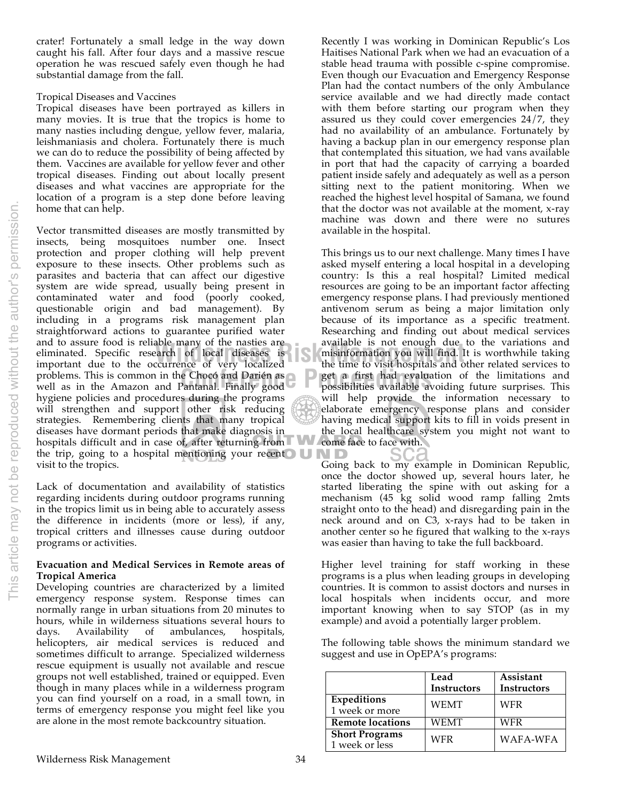crater! Fortunately a small ledge in the way down caught his fall. After four days and a massive rescue operation he was rescued safely even though he had substantial damage from the fall.

#### Tropical Diseases and Vaccines

Tropical diseases have been portrayed as killers in many movies. It is true that the tropics is home to many nasties including dengue, yellow fever, malaria, leishmaniasis and cholera. Fortunately there is much we can do to reduce the possibility of being affected by them. Vaccines are available for yellow fever and other tropical diseases. Finding out about locally present diseases and what vaccines are appropriate for the location of a program is a step done before leaving home that can help.

Vector transmitted diseases are mostly transmitted by insects, being mosquitoes number one. Insect protection and proper clothing will help prevent exposure to these insects. Other problems such as parasites and bacteria that can affect our digestive system are wide spread, usually being present in contaminated water and food (poorly cooked, questionable origin and bad management). By including in a programs risk management plan straightforward actions to guarantee purified water and to assure food is reliable many of the nasties are eliminated. Specific research of local diseases is important due to the occurrence of very localized problems. This is common in the Chocó and Darién as well as in the Amazon and Pantanal. Finally good hygiene policies and procedures during the programs will strengthen and support other risk reducing strategies. Remembering clients that many tropical diseases have dormant periods that make diagnosis in hospitals difficult and in case of, after returning from the trip, going to a hospital mentioning your recent  $\bigcup_{n=1}^{\infty}$ visit to the tropics.

Lack of documentation and availability of statistics regarding incidents during outdoor programs running in the tropics limit us in being able to accurately assess the difference in incidents (more or less), if any, tropical critters and illnesses cause during outdoor programs or activities.

#### **Evacuation and Medical Services in Remote areas of Tropical America**

Developing countries are characterized by a limited emergency response system. Response times can normally range in urban situations from 20 minutes to hours, while in wilderness situations several hours to days. Availability of ambulances, hospitals, of ambulances, helicopters, air medical services is reduced and sometimes difficult to arrange. Specialized wilderness rescue equipment is usually not available and rescue groups not well established, trained or equipped. Even though in many places while in a wilderness program you can find yourself on a road, in a small town, in terms of emergency response you might feel like you are alone in the most remote backcountry situation.

Recently I was working in Dominican Republic's Los Haitises National Park when we had an evacuation of a stable head trauma with possible c-spine compromise. Even though our Evacuation and Emergency Response Plan had the contact numbers of the only Ambulance service available and we had directly made contact with them before starting our program when they assured us they could cover emergencies 24/7, they had no availability of an ambulance. Fortunately by having a backup plan in our emergency response plan that contemplated this situation, we had vans available in port that had the capacity of carrying a boarded patient inside safely and adequately as well as a person sitting next to the patient monitoring. When we reached the highest level hospital of Samana, we found that the doctor was not available at the moment, x-ray machine was down and there were no sutures available in the hospital.

**Chocó and Darién as a possibilities available avoiding future surprises. This**<br>Pantanal. Finally good possibilities available avoiding future surprises. This able many of the hastles are<br>**Wilder architecture of very localized**<br>Courrence of very localized the time to visit hospitals and c This brings us to our next challenge. Many times I have asked myself entering a local hospital in a developing country: Is this a real hospital? Limited medical resources are going to be an important factor affecting emergency response plans. I had previously mentioned antivenom serum as being a major limitation only because of its importance as a specific treatment. Researching and finding out about medical services available is not enough due to the variations and misinformation you will find. It is worthwhile taking the time to visit hospitals and other related services to get a first had evaluation of the limitations and will help provide the information necessary to elaborate emergency response plans and consider having medical support kits to fill in voids present in the local healthcare system you might not want to come face to face with.

> Going back to my example in Dominican Republic, once the doctor showed up, several hours later, he started liberating the spine with out asking for a mechanism (45 kg solid wood ramp falling 2mts straight onto to the head) and disregarding pain in the neck around and on C3, x-rays had to be taken in another center so he figured that walking to the x-rays was easier than having to take the full backboard.

> Higher level training for staff working in these programs is a plus when leading groups in developing countries. It is common to assist doctors and nurses in local hospitals when incidents occur, and more important knowing when to say STOP (as in my example) and avoid a potentially larger problem.

> The following table shows the minimum standard we suggest and use in OpEPA's programs:

|                                         | Lead        | Assistant          |
|-----------------------------------------|-------------|--------------------|
|                                         | Instructors | <b>Instructors</b> |
| Expeditions<br>1 week or more           | <b>WEMT</b> | WFR                |
| <b>Remote locations</b>                 | <b>WEMT</b> | WFR                |
| <b>Short Programs</b><br>1 week or less | WFR         | WAFA-WFA           |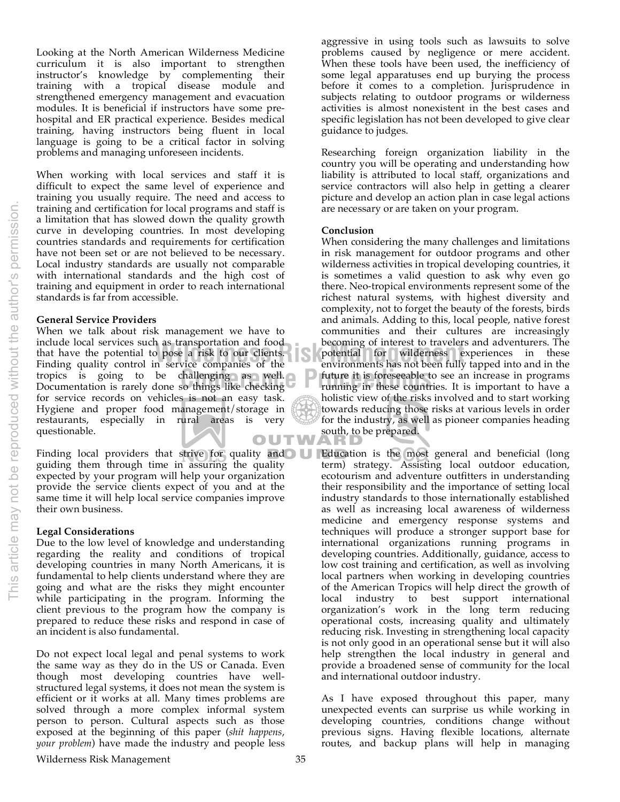Looking at the North American Wilderness Medicine curriculum it is also important to strengthen instructor's knowledge by complementing their training with a tropical disease module and strengthened emergency management and evacuation modules. It is beneficial if instructors have some prehospital and ER practical experience. Besides medical training, having instructors being fluent in local language is going to be a critical factor in solving problems and managing unforeseen incidents.

When working with local services and staff it is difficult to expect the same level of experience and training you usually require. The need and access to training and certification for local programs and staff is a limitation that has slowed down the quality growth curve in developing countries. In most developing countries standards and requirements for certification have not been set or are not believed to be necessary. Local industry standards are usually not comparable with international standards and the high cost of training and equipment in order to reach international standards is far from accessible.

#### **General Service Providers**

When we talk about risk management we have to include local services such as transportation and food that have the potential to pose a risk to our clients. Finding quality control in service companies of the tropics is going to be challenging as well. Documentation is rarely done so things like checking for service records on vehicles is not an easy task. Hygiene and proper food management/storage in restaurants, especially in rural areas is very questionable. OUTW

Finding local providers that strive for quality and guiding them through time in assuring the quality expected by your program will help your organization provide the service clients expect of you and at the same time it will help local service companies improve their own business.

#### **Legal Considerations**

Due to the low level of knowledge and understanding regarding the reality and conditions of tropical developing countries in many North Americans, it is fundamental to help clients understand where they are going and what are the risks they might encounter while participating in the program. Informing the client previous to the program how the company is prepared to reduce these risks and respond in case of an incident is also fundamental.

Do not expect local legal and penal systems to work the same way as they do in the US or Canada. Even though most developing countries have wellstructured legal systems, it does not mean the system is efficient or it works at all. Many times problems are solved through a more complex informal system person to person. Cultural aspects such as those exposed at the beginning of this paper (*shit happens*, *your problem*) have made the industry and people less

aggressive in using tools such as lawsuits to solve problems caused by negligence or mere accident. When these tools have been used, the inefficiency of some legal apparatuses end up burying the process before it comes to a completion. Jurisprudence in subjects relating to outdoor programs or wilderness activities is almost nonexistent in the best cases and specific legislation has not been developed to give clear guidance to judges.

Researching foreign organization liability in the country you will be operating and understanding how liability is attributed to local staff, organizations and service contractors will also help in getting a clearer picture and develop an action plan in case legal actions are necessary or are taken on your program.

#### **Conclusion**

**Conference Proceedings**<br> **Conference Proceeding**<br> **Conference Proceeding**<br> **Conference in programs**<br> **Conference in programs**<br> **Conference in programs**<br> **Conference in programs**<br> **Conference in these countries**. It is imp Fas transportation and food<br>
pose a risk to our clients.<br> **Experiences** for wilderness experiences in these<br>
potential for wilderness experiences in these<br>
potential for wilderness experiences in these<br>
potential for wilde When considering the many challenges and limitations in risk management for outdoor programs and other wilderness activities in tropical developing countries, it is sometimes a valid question to ask why even go there. Neo-tropical environments represent some of the richest natural systems, with highest diversity and complexity, not to forget the beauty of the forests, birds and animals. Adding to this, local people, native forest communities and their cultures are increasingly becoming of interest to travelers and adventurers. The environments has not been fully tapped into and in the running in these countries. It is important to have a holistic view of the risks involved and to start working towards reducing those risks at various levels in order for the industry, as well as pioneer companies heading south, to be prepared.

> Education is the most general and beneficial (long term) strategy. Assisting local outdoor education, ecotourism and adventure outfitters in understanding their responsibility and the importance of setting local industry standards to those internationally established as well as increasing local awareness of wilderness medicine and emergency response systems and techniques will produce a stronger support base for international organizations running programs in developing countries. Additionally, guidance, access to low cost training and certification, as well as involving local partners when working in developing countries of the American Tropics will help direct the growth of local industry to best support international organization's work in the long term reducing operational costs, increasing quality and ultimately reducing risk. Investing in strengthening local capacity is not only good in an operational sense but it will also help strengthen the local industry in general and provide a broadened sense of community for the local and international outdoor industry.

> As I have exposed throughout this paper, many unexpected events can surprise us while working in developing countries, conditions change without previous signs. Having flexible locations, alternate routes, and backup plans will help in managing